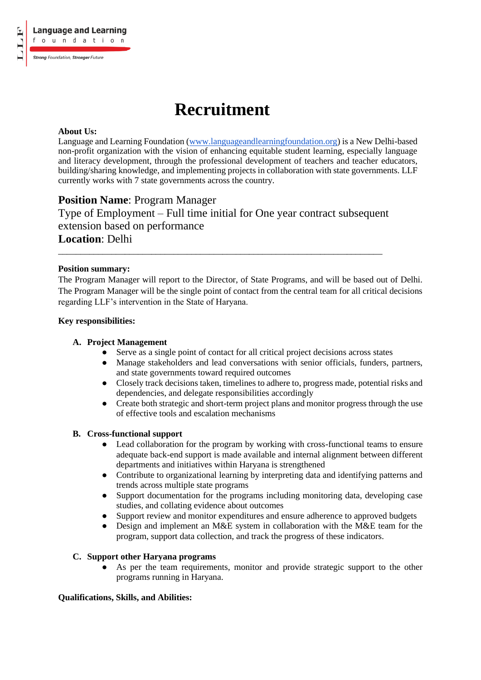# **Recruitment**

# **About Us:**

Language and Learning Foundation (www.languageandlearningfoundation.org) is a New Delhi-based non-profit organization with the vision of enhancing equitable student learning, especially language and literacy development, through the professional development of teachers and teacher educators, building/sharing knowledge, and implementing projects in collaboration with state governments. LLF currently works with 7 state governments across the country.

# **Position Name**: Program Manager

Type of Employment – Full time initial for One year contract subsequent extension based on performance **Location**: Delhi

\_\_\_\_\_\_\_\_\_\_\_\_\_\_\_\_\_\_\_\_\_\_\_\_\_\_\_\_\_\_\_\_\_\_\_\_\_\_\_\_\_\_\_\_\_\_\_\_\_\_\_\_\_\_\_\_\_\_\_\_\_\_\_\_\_\_\_\_\_\_\_\_\_

# **Position summary:**

The Program Manager will report to the Director, of State Programs, and will be based out of Delhi. The Program Manager will be the single point of contact from the central team for all critical decisions regarding LLF's intervention in the State of Haryana.

#### **Key responsibilities:**

#### **A. Project Management**

- Serve as a single point of contact for all critical project decisions across states
- Manage stakeholders and lead conversations with senior officials, funders, partners, and state governments toward required outcomes
- Closely track decisions taken, timelines to adhere to, progress made, potential risks and dependencies, and delegate responsibilities accordingly
- Create both strategic and short-term project plans and monitor progress through the use of effective tools and escalation mechanisms

#### **B. Cross-functional support**

- Lead collaboration for the program by working with cross-functional teams to ensure adequate back-end support is made available and internal alignment between different departments and initiatives within Haryana is strengthened
- Contribute to organizational learning by interpreting data and identifying patterns and trends across multiple state programs
- Support documentation for the programs including monitoring data, developing case studies, and collating evidence about outcomes
- Support review and monitor expenditures and ensure adherence to approved budgets
- Design and implement an M&E system in collaboration with the M&E team for the program, support data collection, and track the progress of these indicators.

# **C. Support other Haryana programs**

● As per the team requirements, monitor and provide strategic support to the other programs running in Haryana.

# **Qualifications, Skills, and Abilities:**